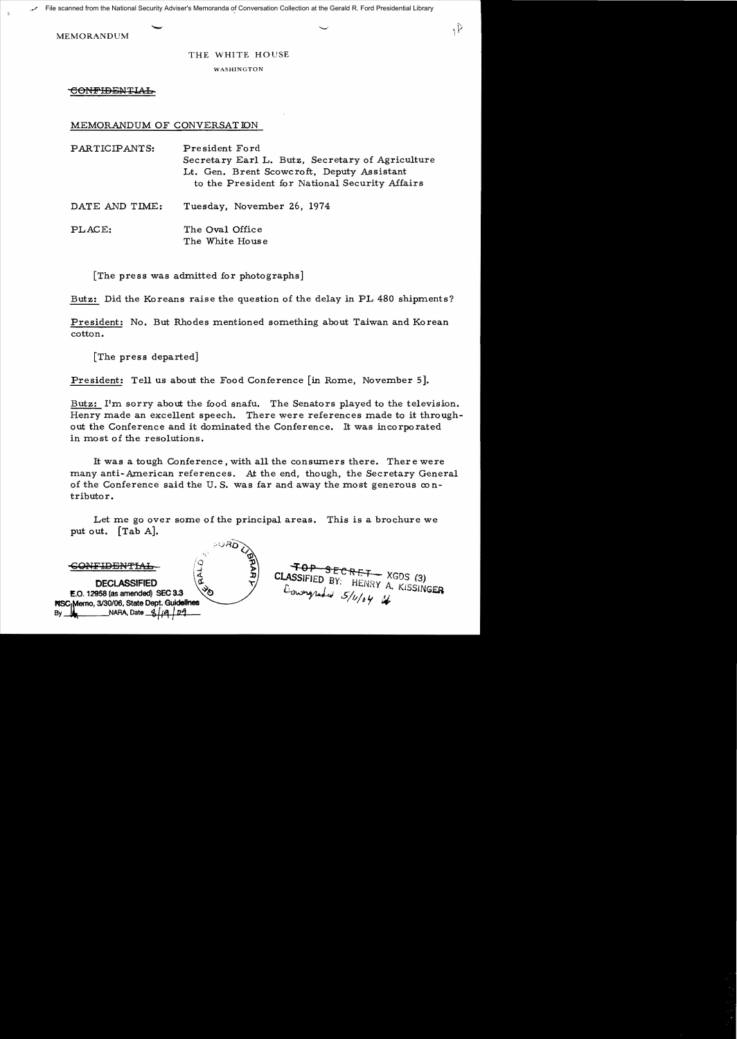*File scanned from the National Security Adviser's Memoranda of Conversation Collection at the Gerald R. Ford Presidential Library*<br>MEMORANDUM

MEMORANDUM

# THE WHITE HOUSE

 $\mathcal{P}$ 

WASHINGTON

CONFIDENTIAL

MEMORANDUM OF CONVERSATION

PARTICIPANTS: President Ford Secretary Earl L. Butz, Secretary of Agriculture Lt. Gen. Brent Scowcroft, Deputy Assistant to the President for National Security Affairs

DATE AND TIME: Tuesday, November 26, 1974

PLACE: The Oval Office The White House

[The press was admitted for photographs]

Butz: Did the Koreans raise the question of the delay in PL 480 shipments?

President: No. But Rhodes mentioned something about Taiwan and Korean cotton.

[The press departed]

President: Tell us about the Food Conference [in Rome, November 5].

Butz: I'm sorry about the food snafu. The Senators played to the television. Henry made an excellent speech. There were references made to it throughout the Conference and it dominated the Conference. It was incorporated in most of the resolutions.

It was a tough Conference, with all the conswners there. There were many anti-American references. At the end, though, the Secretary General of the Conference said the U.S. was far and away the most generous  $\infty$  ntributor.

Let me go over some of the principal areas. This is a brochure we put out. [Tab A].

| ാഷമ                                                                                     |                                   |
|-----------------------------------------------------------------------------------------|-----------------------------------|
|                                                                                         | $\overline{+0}P$ secret $XGDS(3)$ |
| <b>DECLASSIFIED</b>                                                                     | CLASSIFIED BY: HENRY A. KISSINGER |
| $\sqrt[3]{\mathcal{O}}$<br>E.O. 12958 (as amended) SEC 3.3                              | Conveyadid 5/11/04 4              |
| NSC <sub>I</sub> Memo, 3/30/06, State Dept. Guidelines<br>NARA, Date 3/19<br>1,04<br>By |                                   |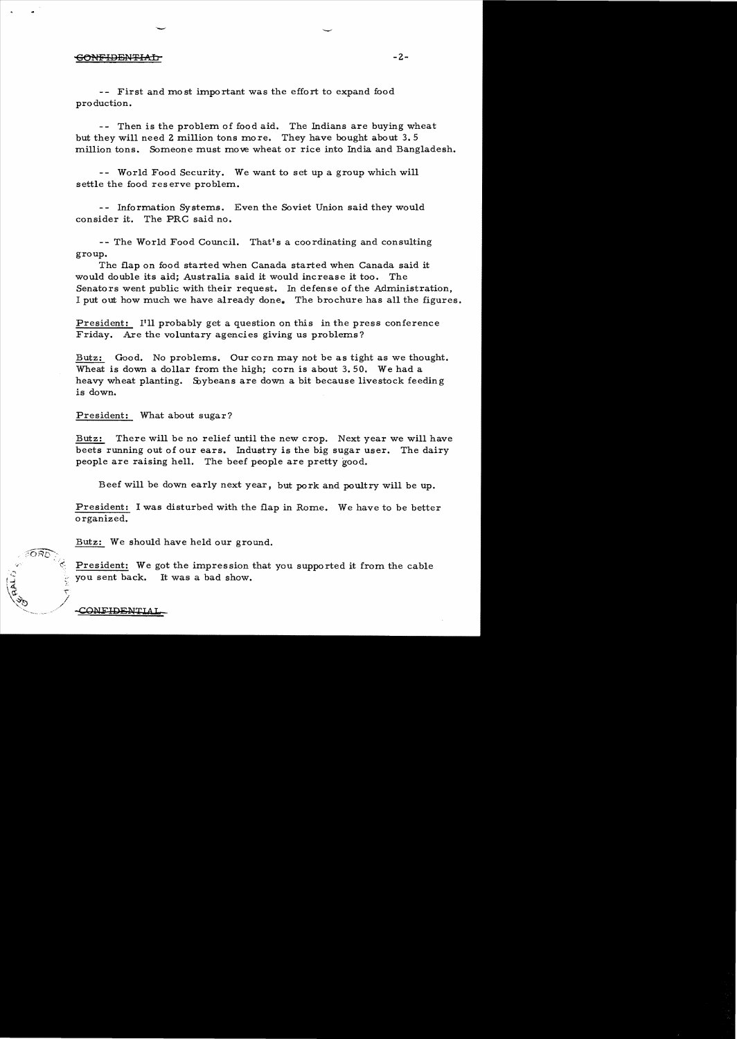# -6ONFIDENT:IAb- -2

-- First and most important was the effort to expand food pro duction.

-- Then is the problem of food aid. The Indians are buying wheat but they will need 2 million tons more. They have bought about 3.5 million tons. Someone must move wheat or rice into India and Bangladesh.

-- World Food Security. We want to set up a group which will settle the food reserve problem.

- - Information Systems. Even the Soviet Union said they would consider it. The PRC said no.

-- The World Food Council. That's a coordinating and consulting group.

The flap on food started when Canada started when Canada said it would double its aid; Australia said it would increase it too. The Senators went public with their request. In defense of the Administration, I put out how much we have already done. The brochure has all the figures.

President: I'll probably get a question on this in the press conference Friday. Are the voluntary agencies giving us problems?

Butz: Good. No problems. Our corn may not be as tight as we thought. Wheat is down a dollar from the high; corn is about 3.50. We had a heavy wheat planting. Soybeans are down a bit because livestock feeding is down.

President: What about sugar?

Butz: There will be no relief until the new crop. Next year we will have beets running out of our ears. Industry is the big sugar user. The dairy people are raising hell. The beef people are pretty good.

Beef will be down early next year, but pork and poultry will be up.

President: I was disturbed with the flap in Rome. We have to be better organized.

Butz: We should have held our ground.

President: We got the impression that you supported it from the cable you sent back. It was a bad show.

CONFIDENTI

'"/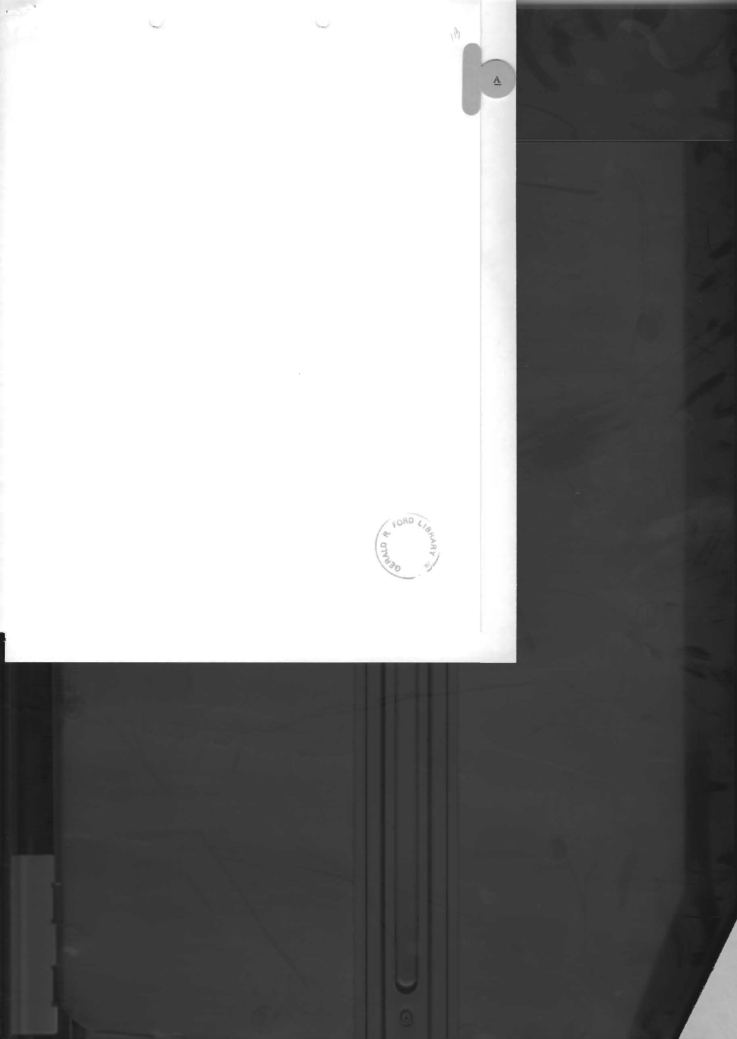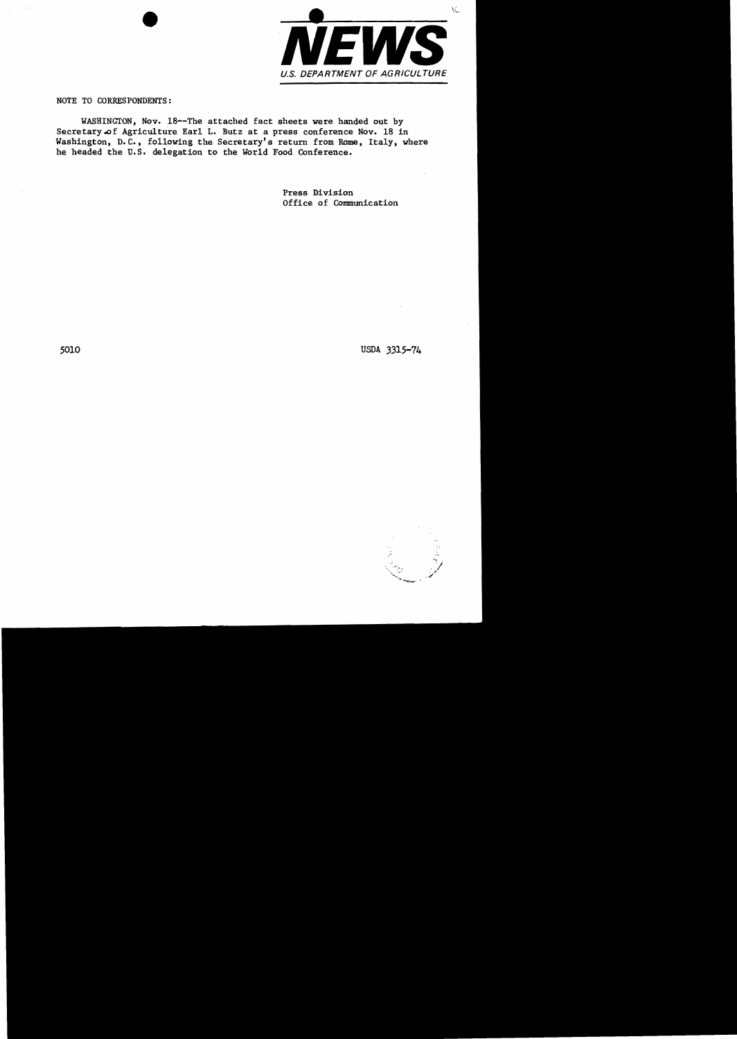

NOTE TO CORRESPONDENTS:

WASHINGTON, Nov. 18--The attached fact sheets were handed out by Secretary of Agriculture Earl L. Butz at a press conference Nov. 18 in Washington, D.C., following the Secretary's return from Rome, Italy, where he headed the u.S. delegation to the World Food Conference.

> Press Division Office of Communication

5010 USDA 3315-74

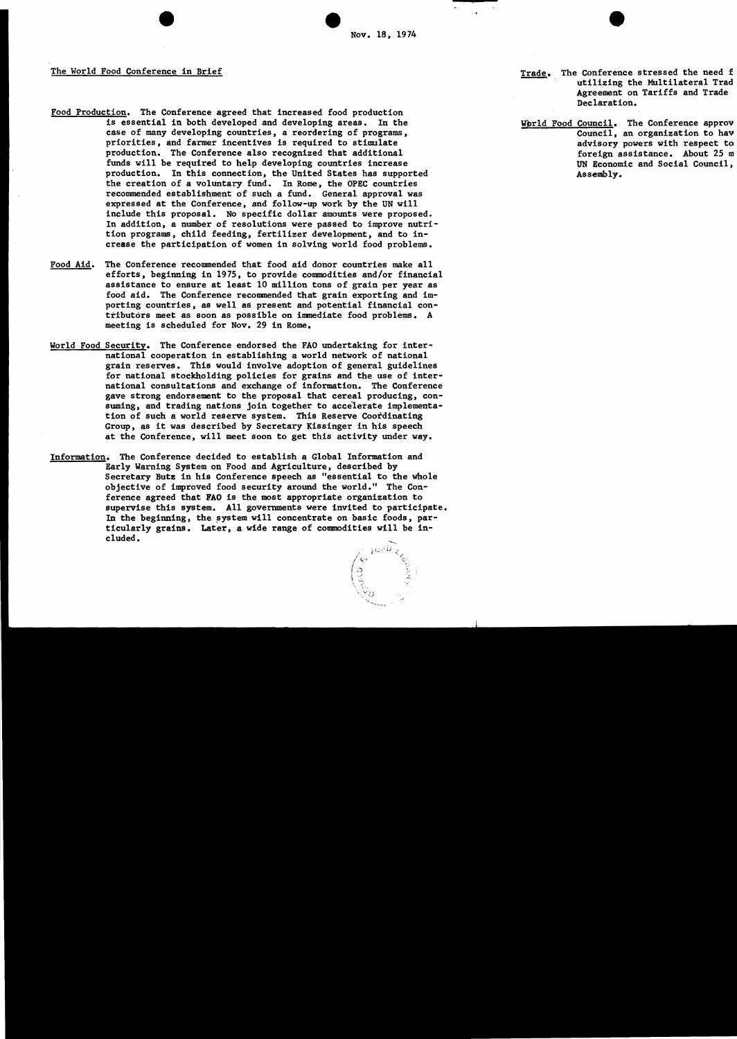The World Food Conference in Brief

- Food Production. The Conference agreed that increased food production<br>is essential in both developed and developing areas. In the is essential in both developed and developing areas. case of many developing countries, a reordering of programs, priorities, and farmer incentives is required to stimulate production. The Conference also recognized that additional funds will be required to help developing countries increase production. In this connection, the United States has supported the creation of a voluntary fund. In Rome, the OPEC countries recommended establishment of such a fund. General approval was expressed at the Conference, and follow-up work by the UN will include this proposal. No specific dollar amounts were proposed. In addition, a number of resolutions were passed to improve nutrition programs, child feeding, fertilizer development, and to increase the participation of women in solving world food problems.
- Food Aid. The Conference recommended that food aid donor countries make all efforts, beginning in 1975, to provide commodities and/or financial assistance to ensure at least 10 million tons of grain per year as food aid. The Conference recommended that grain exporting and importing countries, as well as present and potential financial contributors meet as soon as possible on immediate food problems. A meeting is scheduled for Nov. 29 in Rome.
- World Food Security. The Conference endorsed the FAO undertaking for international cooperation in establishing a world network of national grain reserves. This would involve adoption of general guidelines for national stockholding policies for grains and the use of international consultations and exchange of information. The Conference gave strong endorsement to the proposal that cereal producing, consuming, and trading nations join together to accelerate implementation of such a world reserve system. This Reserve Coordinating Group, as it was described by Secretary Kissinger in his speech at the Conference, will meet soon to get this activity under way.
- Information. The Conference decided to establish a Global Information and Early Warning System on Food and Agriculture, described by Secretary Butz in his Conference speech as "essential to the whole objective of improved food security around the world." The Conference agreed that FAO is the most appropriate organization to supervise this system. All governments were invited to participate. In the beginning, the system will concentrate on basic foods,  $par$ ticularly grains. Later, a wide range of commodities will be included.

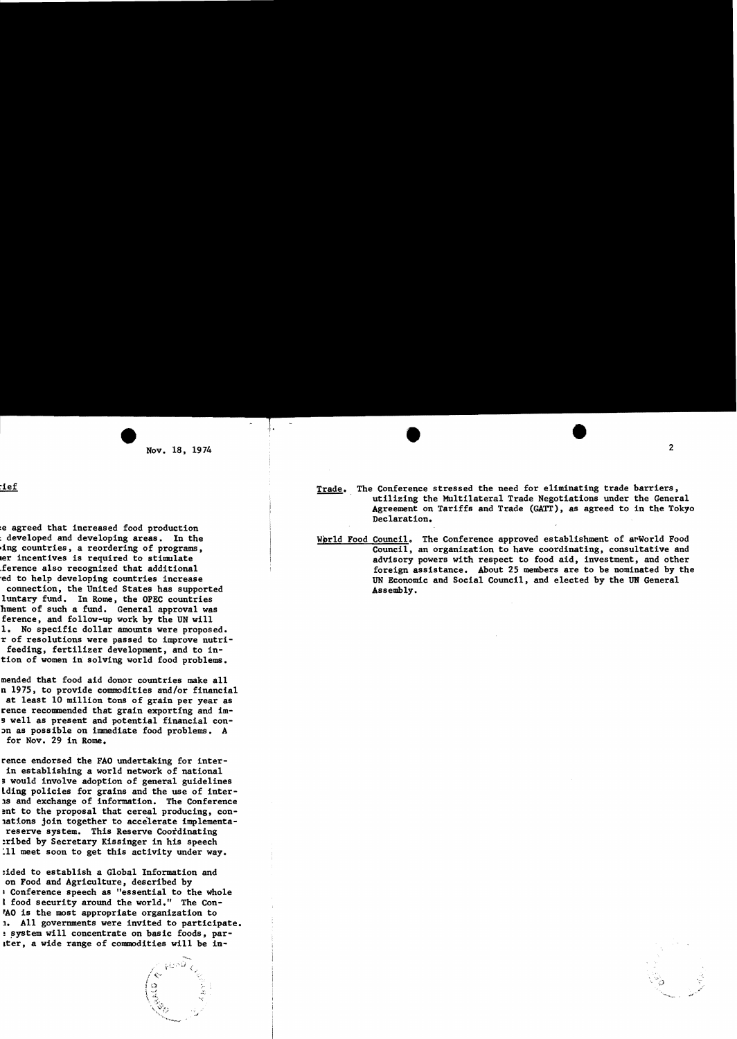Trade. The Conference stressed the need for eliminating trade barriers, utilizing the Multilateral Trade Negotiations under the General Agreement on Tariffs and Trade (GATT), as agreed to in the Tokyo Declaration.

 $\bullet$ 

2

 $\mathbb{R}^3$  . The set of  $\mathbb{R}^3$ 

-- 

World Food Council. The Conference approved establishment of arWorld Food Council, an organization to have coordinating, consultative and advisory powers with respect to food aid, investment, and other foreign assistance. About 25 members are to be nominated by the UN Economic and Social Council, and elected by the UN General Assembly.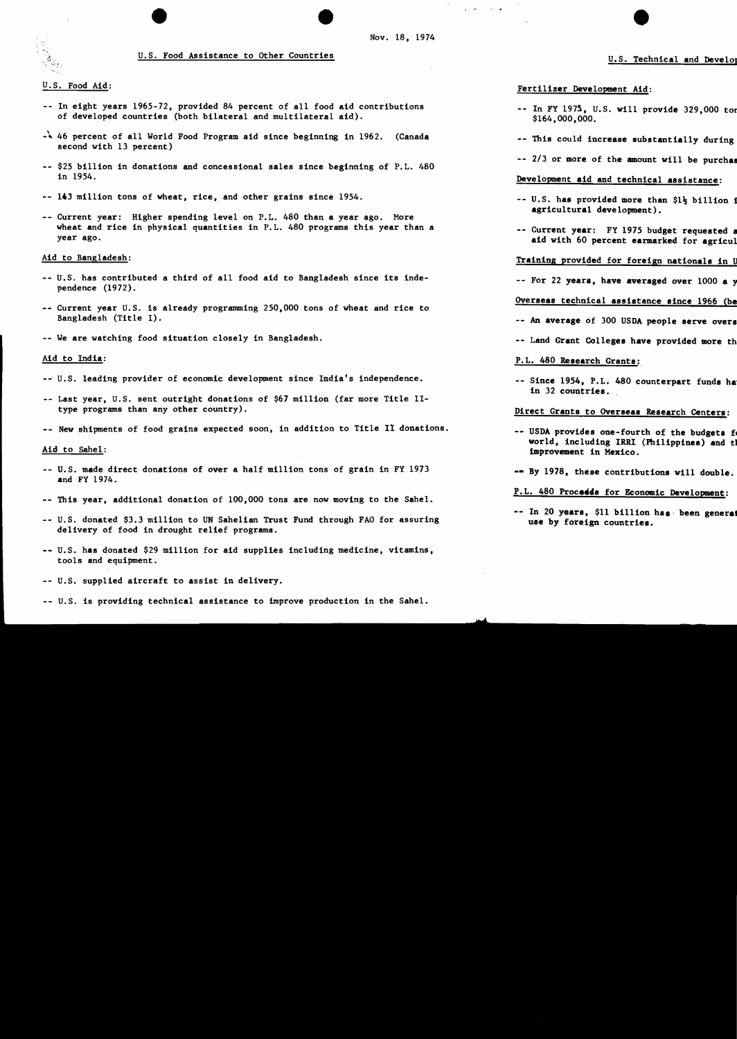### U.S. Food Assistance to Other Countries

### U.S. Food Aid:

- -- In eight years 1965-72, provided 84 percent of all food aid contributions of developed countries (both bilateral and multilateral aid).
- -\ 46 percent of all World Food Program aid since beginning in 1962. (Canada second with 13 percent)
- -- \$25 billion in donations and concessional sales since beginning of P.L. 480 in 1954.
- 143 million tons of wheat, rice, and other grains since 1954.
- Current year: Higher spending level on P.L. 480 than a year ago. More wheat and rice in physical quantities in P.L. 480 programs this year than a year ago.

### Aid to Bangladesh:

- U.S. has contributed a third of all food aid to Bangladesh since its independence (1972).
- Current year U.S. is already programming 250,000 tons of wheat and rice to Bangladesh (Title I).
- -- We are watching food situation closely in Bangladesh.

### Aid to India:

- --' U.S. leading provider of economic development since India's independence.
- -- Last year, U.S. sent outright donations of \$67 million (far more Title IItype programs than any other country).
- -- New shipments of food grains expected soon, in addition to Title II donations.

#### Aid to Sahel:

- U.S. made direct donations of over a half million tons of grain in FY 1973 and FY 1974.
- This year, additional donation of 100,000 tons are now moving to the Sahel.
- U.S. donated \$3.3 million to UN Sahelian Trust Fund through FAO for assuring delivery of food in drought relief programs.
- U.S. has donated \$29 million for aid supplies including medicine, vitamins, tools and equipment.
- U.S. supplied aircraft to assist in delivery.
- U.S. is providing technical assistance to improve production in the Sahel.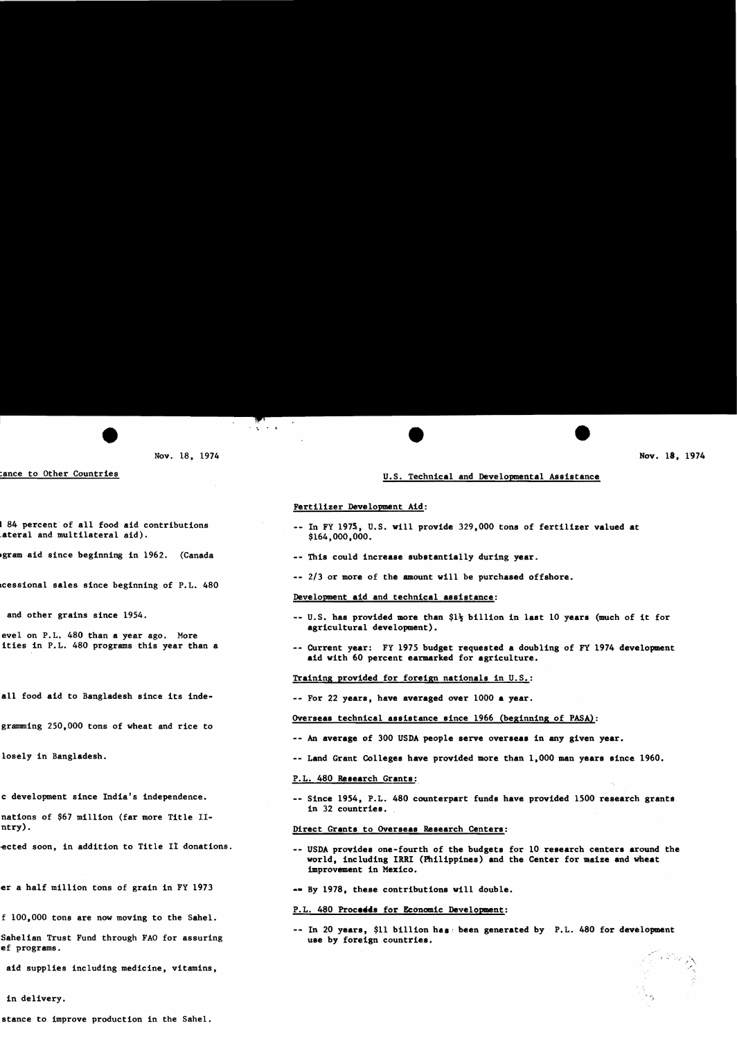c' ",

,.

# U.s. Technical and Developmental Assistance

# Fertilizer Development Aid:

e " e e

- -- In FY 1975, U.S. will provide 329,000 tons of fertilizer valued at \$164,000,000.
- -- This could increase substantially during year.
- -- 2/3 or more of the amount will be purchased offshore.

# Development aid and technical assistance:

- $-$  U.S. has provided more than  $1\frac{1}{2}$  billion in last 10 years (much of it for agricultural development).
- -- Current year: FY 1975 budget requested a doubling of FY 1974 development aid with 60 percent earmarked for agriculture.

Training provided for foreign nationals in U.S.:

-- For 22 years, have averaged over 1000 a year.

## Overseas technical assistance since 1966 (beginning of PASA):

- -- An average of 300 USDA people serve overseas in any given year.
- Land Grant Colleges have provided more than 1,000 man years since 1960.

# P. L. 480 Research Grants:

-- Since 1954, P.L. 480 counterpart funds have provided 1500 research grants in 32 countries.

### Direct Grants to Overseas Research Centers:

- USDA provides one-fourth of the budgets for 10 research centers around the world, including IRRI (Philippines) and the Center for maize and wheat tmprovement in Mexico.
- -- By 1978, these contributions will double.

### P.L. 480 Proceeds for Economic Development:

 $-$  In 20 years, \$11 billion has been generated by P.L. 480 for development use by foreign countries.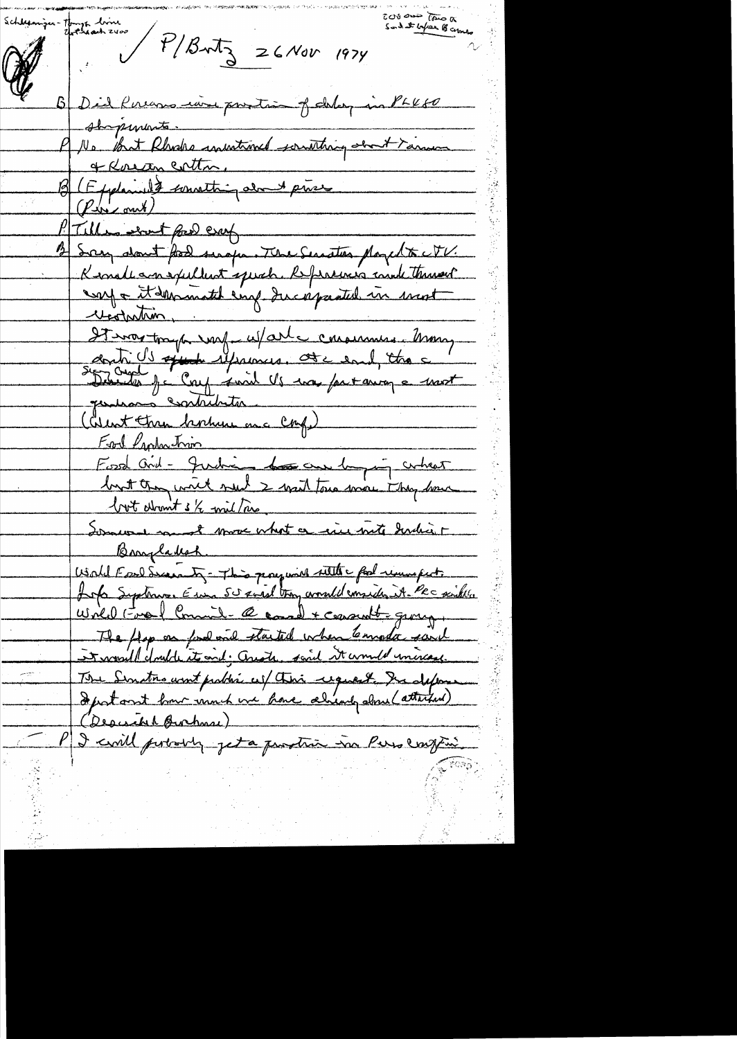schlumin Thomps dinne<br>Alle P/Butz 26 Nov 1974 Sond at before B comes B Did Ruens ion portion of delay in PLK80 shopements. PU. But Rhodes invitance southing obout Yarne P No But Klade monderne It was trap was us/arte consumer trong<br>and Is appear us/arte consumer thought Food laphachum<br>Food Ord - Judie - Los can longer arhest From Production but dromt s/2 will are Somere more what a crier met develir Lofa Systems. Euro 50 xweel trong worded considerat. Pec sinkle Wild Fre Commit-@correl + covant = group. The flop on food one started when Emode said et would double its and; Auste, said it would universe. The Sinatre wint problem as this request. In define (Desiche Burhase) PJ civil portably jet a prostra in Persental